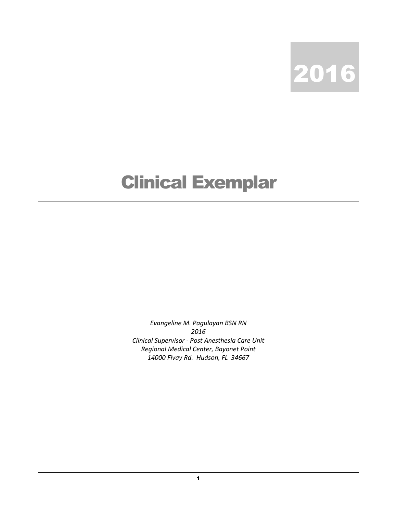

## Clinical Exemplar

Evangeline M. Pagulayan BSN RN 2016 Clinical Supervisor - Post Anesthesia Care Unit Regional Medical Center, Bayonet Point 14000 Fivay Rd. Hudson, FL 34667